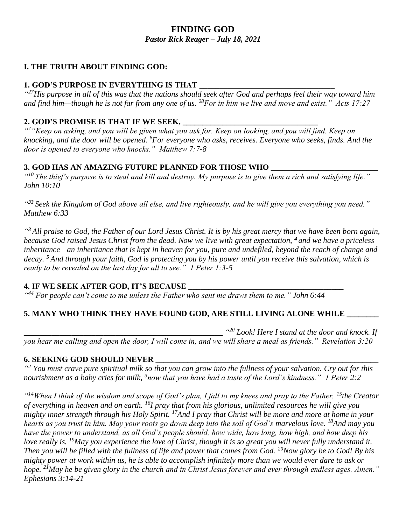#### **FINDING GOD** *Pastor Rick Reager – July 18, 2021*

# **I. THE TRUTH ABOUT FINDING GOD:**

# **1. GOD'S PURPOSE IN EVERYTHING IS THAT**

*" <sup>27</sup>His purpose in all of this was that the nations should seek after God and perhaps feel their way toward him and find him—though he is not far from any one of us. <sup>28</sup>For in him we live and move and exist." Acts 17:27*

#### **2. GOD'S PROMISE IS THAT IF WE SEEK, \_\_\_\_\_\_\_\_\_\_\_\_\_\_\_\_\_\_\_\_\_\_\_\_\_\_\_\_\_\_\_\_\_\_**

*" <sup>7</sup>"Keep on asking, and you will be given what you ask for. Keep on looking, and you will find. Keep on knocking, and the door will be opened. <sup>8</sup>For everyone who asks, receives. Everyone who seeks, finds. And the door is opened to everyone who knocks." Matthew 7:7-8*

#### **3. GOD HAS AN AMAZING FUTURE PLANNED FOR THOSE WHO \_\_\_\_\_\_\_\_\_\_\_\_\_\_\_\_\_\_\_\_\_\_\_\_\_\_\_**

*" <sup>10</sup> The thief's purpose is to steal and kill and destroy. My purpose is to give them a rich and satisfying life." John 10:10*

*" <sup>33</sup> Seek the Kingdom of God above all else, and live righteously, and he will give you everything you need." Matthew 6:33*

*" <sup>3</sup> All praise to God, the Father of our Lord Jesus Christ. It is by his great mercy that we have been born again, because God raised Jesus Christ from the dead. Now we live with great expectation, <sup>4</sup> and we have a priceless inheritance—an inheritance that is kept in heaven for you, pure and undefiled, beyond the reach of change and decay. <sup>5</sup> And through your faith, God is protecting you by his power until you receive this salvation, which is ready to be revealed on the last day for all to see." 1 Peter 1:3-5*

## **4. IF WE SEEK AFTER GOD, IT'S BECAUSE \_\_\_\_\_\_\_\_\_\_\_\_\_\_\_\_\_\_\_\_\_\_\_\_\_\_\_\_\_\_\_\_\_\_\_\_\_\_\_**

*" <sup>44</sup> For people can't come to me unless the Father who sent me draws them to me." John 6:44*

## **5. MANY WHO THINK THEY HAVE FOUND GOD, ARE STILL LIVING ALONE WHILE \_\_\_\_\_\_\_\_**

**\_\_\_\_\_\_\_\_\_\_\_\_\_\_\_\_\_\_\_\_\_\_\_\_\_\_\_\_\_\_\_\_\_\_\_\_\_\_\_\_\_\_\_\_\_\_\_\_\_\_** *" <sup>20</sup> Look! Here I stand at the door and knock. If you hear me calling and open the door, I will come in, and we will share a meal as friends." Revelation 3:20*

## **6. SEEKING GOD SHOULD NEVER \_\_\_\_\_\_\_\_\_\_\_\_\_\_\_\_\_\_\_\_\_\_\_\_\_\_\_\_\_\_\_\_\_\_\_\_\_\_\_\_\_\_\_\_\_\_\_\_\_\_\_\_\_\_\_\_**

*" <sup>2</sup> You must crave pure spiritual milk so that you can grow into the fullness of your salvation. Cry out for this*  nourishment as a baby cries for milk, <sup>3</sup>now that you have had a taste of the Lord's kindness." 1 Peter 2:2

*" <sup>14</sup>When I think of the wisdom and scope of God's plan, I fall to my knees and pray to the Father, <sup>15</sup>the Creator of everything in heaven and on earth. <sup>16</sup>I pray that from his glorious, unlimited resources he will give you mighty inner strength through his Holy Spirit. <sup>17</sup>And I pray that Christ will be more and more at home in your hearts as you trust in him. May your roots go down deep into the soil of God's marvelous love. <sup>18</sup>And may you have the power to understand, as all God's people should, how wide, how long, how high, and how deep his love really is. <sup>19</sup>May you experience the love of Christ, though it is so great you will never fully understand it. Then you will be filled with the fullness of life and power that comes from God. <sup>20</sup>Now glory be to God! By his mighty power at work within us, he is able to accomplish infinitely more than we would ever dare to ask or hope. <sup>21</sup>May he be given glory in the church and in Christ Jesus forever and ever through endless ages. Amen." Ephesians 3:14-21*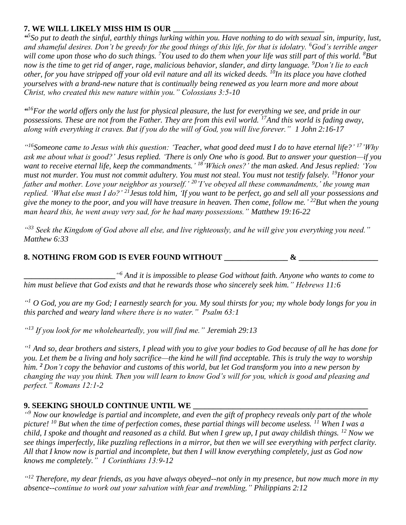## **7. WE WILL LIKELY MISS HIM IS OUR \_\_\_\_\_\_\_\_\_\_\_\_\_\_\_\_\_\_\_\_\_\_\_\_\_\_\_\_\_\_\_\_\_\_\_\_\_\_**

*" 5 So put to death the sinful, earthly things lurking within you. Have nothing to do with sexual sin, impurity, lust, and shameful desires. Don't be greedy for the good things of this life, for that is idolatry. <sup>6</sup>God's terrible anger will come upon those who do such things. <sup>7</sup>You used to do them when your life was still part of this world. <sup>8</sup>But now is the time to get rid of anger, rage, malicious behavior, slander, and dirty language. <sup>9</sup>Don't lie to each other, for you have stripped off your old evil nature and all its wicked deeds. <sup>10</sup>In its place you have clothed yourselves with a brand-new nature that is continually being renewed as you learn more and more about Christ, who created this new nature within you." Colossians 3:5-10*

*" <sup>16</sup>For the world offers only the lust for physical pleasure, the lust for everything we see, and pride in our possessions. These are not from the Father. They are from this evil world. <sup>17</sup>And this world is fading away, along with everything it craves. But if you do the will of God, you will live forever." 1 John 2:16-17*

*" <sup>16</sup>Someone came to Jesus with this question: 'Teacher, what good deed must I do to have eternal life?' <sup>17</sup>'Why ask me about what is good?' Jesus replied. 'There is only One who is good. But to answer your question—if you want to receive eternal life, keep the commandments.' <sup>18</sup>'Which ones?' the man asked. And Jesus replied: 'You must not murder. You must not commit adultery. You must not steal. You must not testify falsely. <sup>19</sup>Honor your father and mother. Love your neighbor as yourself.' <sup>20</sup> 'I've obeyed all these commandments,' the young man replied. 'What else must I do?' <sup>21</sup>Jesus told him, 'If you want to be perfect, go and sell all your possessions and give the money to the poor, and you will have treasure in heaven. Then come, follow me.' <sup>22</sup>But when the young man heard this, he went away very sad, for he had many possessions." Matthew 19:16-22*

*" <sup>33</sup> Seek the Kingdom of God above all else, and live righteously, and he will give you everything you need." Matthew 6:33*

## **8. NOTHING FROM GOD IS EVER FOUND WITHOUT \_\_\_\_\_\_\_\_\_\_\_\_\_\_\_\_ & \_\_\_\_\_\_\_\_\_\_\_\_\_\_\_\_\_\_\_\_**

**\_\_\_\_\_\_\_\_\_\_\_\_\_\_\_\_\_\_\_\_\_\_\_***" <sup>6</sup> And it is impossible to please God without faith. Anyone who wants to come to him must believe that God exists and that he rewards those who sincerely seek him." Hebrews 11:6*

*" <sup>1</sup> O God, you are my God; I earnestly search for you. My soul thirsts for you; my whole body longs for you in this parched and weary land where there is no water." Psalm 63:1*

*" <sup>13</sup> If you look for me wholeheartedly, you will find me." Jeremiah 29:13*

*" <sup>1</sup> And so, dear brothers and sisters, I plead with you to give your bodies to God because of all he has done for you. Let them be a living and holy sacrifice—the kind he will find acceptable. This is truly the way to worship him. <sup>2</sup> Don't copy the behavior and customs of this world, but let God transform you into a new person by changing the way you think. Then you will learn to know God's will for you, which is good and pleasing and perfect." Romans 12:1-2*

## **9. SEEKING SHOULD CONTINUE UNTIL WE \_\_\_\_\_\_\_\_\_\_\_\_\_\_\_\_\_\_\_\_\_\_\_\_\_\_\_\_\_\_\_\_\_\_\_\_\_\_\_\_\_\_\_\_**

<sup>"9</sup> Now our knowledge is partial and incomplete, and even the gift of prophecy reveals only part of the whole *picture! <sup>10</sup> But when the time of perfection comes, these partial things will become useless. <sup>11</sup> When I was a child, I spoke and thought and reasoned as a child. But when I grew up, I put away childish things. <sup>12</sup> Now we see things imperfectly, like puzzling reflections in a mirror, but then we will see everything with perfect clarity. All that I know now is partial and incomplete, but then I will know everything completely, just as God now knows me completely." 1 Corinthians 13:9-12*

*" <sup>12</sup> Therefore, my dear friends, as you have always obeyed--not only in my presence, but now much more in my absence--continue to work out your salvation with fear and trembling," Philippians 2:12*